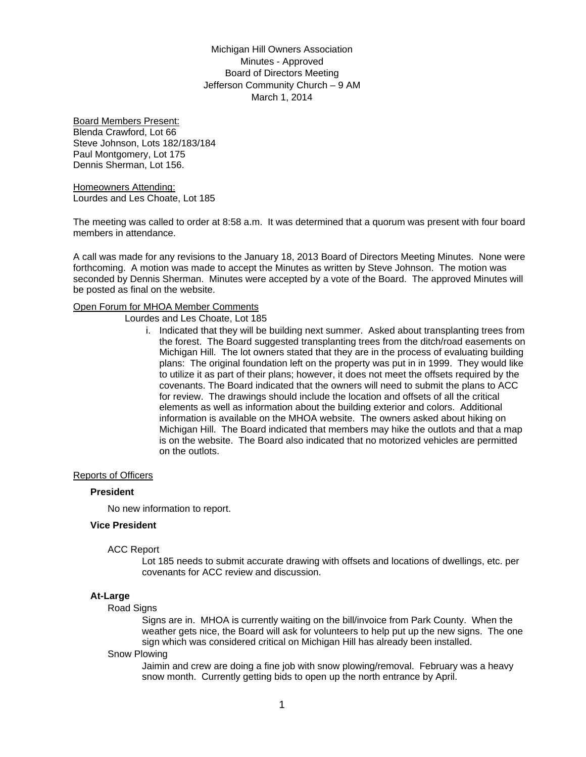Michigan Hill Owners Association Minutes - Approved Board of Directors Meeting Jefferson Community Church – 9 AM March 1, 2014

Board Members Present: Blenda Crawford, Lot 66 Steve Johnson, Lots 182/183/184 Paul Montgomery, Lot 175 Dennis Sherman, Lot 156.

Homeowners Attending: Lourdes and Les Choate, Lot 185

The meeting was called to order at 8:58 a.m. It was determined that a quorum was present with four board members in attendance.

A call was made for any revisions to the January 18, 2013 Board of Directors Meeting Minutes. None were forthcoming. A motion was made to accept the Minutes as written by Steve Johnson. The motion was seconded by Dennis Sherman. Minutes were accepted by a vote of the Board. The approved Minutes will be posted as final on the website.

### Open Forum for MHOA Member Comments

Lourdes and Les Choate, Lot 185

i. Indicated that they will be building next summer. Asked about transplanting trees from the forest. The Board suggested transplanting trees from the ditch/road easements on Michigan Hill. The lot owners stated that they are in the process of evaluating building plans: The original foundation left on the property was put in in 1999. They would like to utilize it as part of their plans; however, it does not meet the offsets required by the covenants. The Board indicated that the owners will need to submit the plans to ACC for review. The drawings should include the location and offsets of all the critical elements as well as information about the building exterior and colors. Additional information is available on the MHOA website. The owners asked about hiking on Michigan Hill. The Board indicated that members may hike the outlots and that a map is on the website. The Board also indicated that no motorized vehicles are permitted on the outlots.

#### Reports of Officers

#### **President**

No new information to report.

## **Vice President**

#### ACC Report

Lot 185 needs to submit accurate drawing with offsets and locations of dwellings, etc. per covenants for ACC review and discussion.

#### **At-Large**

#### Road Signs

Signs are in. MHOA is currently waiting on the bill/invoice from Park County. When the weather gets nice, the Board will ask for volunteers to help put up the new signs. The one sign which was considered critical on Michigan Hill has already been installed.

#### Snow Plowing

Jaimin and crew are doing a fine job with snow plowing/removal. February was a heavy snow month. Currently getting bids to open up the north entrance by April.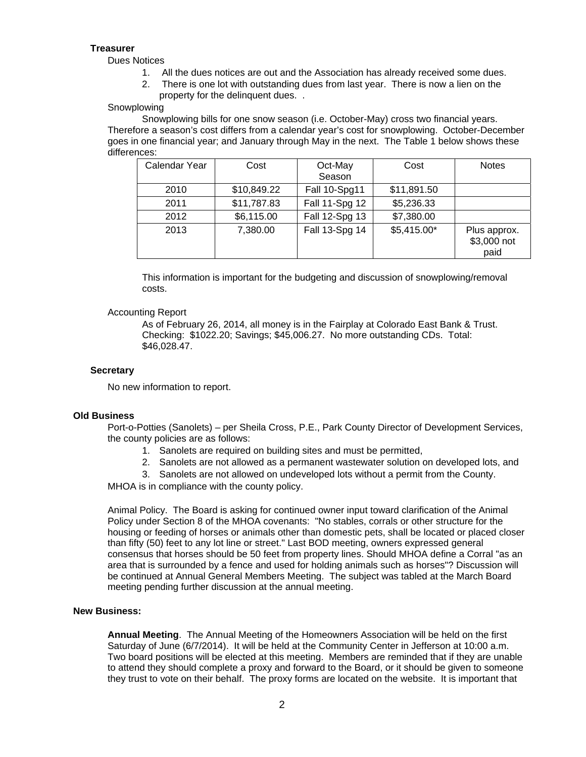# **Treasurer**

Dues Notices

- 1. All the dues notices are out and the Association has already received some dues.
- 2. There is one lot with outstanding dues from last year. There is now a lien on the
- property for the delinquent dues. .

# Snowplowing

Snowplowing bills for one snow season (i.e. October-May) cross two financial years. Therefore a season's cost differs from a calendar year's cost for snowplowing. October-December goes in one financial year; and January through May in the next. The Table 1 below shows these differences:

| Calendar Year | Cost        | Oct-May<br>Season | Cost         | <b>Notes</b>                        |
|---------------|-------------|-------------------|--------------|-------------------------------------|
| 2010          | \$10,849.22 | Fall 10-Spg11     | \$11,891.50  |                                     |
| 2011          | \$11,787.83 | Fall 11-Spg 12    | \$5,236.33   |                                     |
| 2012          | \$6,115.00  | Fall 12-Spg 13    | \$7,380.00   |                                     |
| 2013          | 7,380.00    | Fall 13-Spg 14    | $$5,415.00*$ | Plus approx.<br>\$3,000 not<br>paid |

This information is important for the budgeting and discussion of snowplowing/removal costs.

## Accounting Report

As of February 26, 2014, all money is in the Fairplay at Colorado East Bank & Trust. Checking: \$1022.20; Savings; \$45,006.27. No more outstanding CDs. Total: \$46,028.47.

## **Secretary**

No new information to report.

# **Old Business**

Port-o-Potties (Sanolets) – per Sheila Cross, P.E., Park County Director of Development Services, the county policies are as follows:

- 1. Sanolets are required on building sites and must be permitted,
- 2. Sanolets are not allowed as a permanent wastewater solution on developed lots, and
- 3. Sanolets are not allowed on undeveloped lots without a permit from the County.

MHOA is in compliance with the county policy.

Animal Policy. The Board is asking for continued owner input toward clarification of the Animal Policy under Section 8 of the MHOA covenants: "No stables, corrals or other structure for the housing or feeding of horses or animals other than domestic pets, shall be located or placed closer than fifty (50) feet to any lot line or street." Last BOD meeting, owners expressed general consensus that horses should be 50 feet from property lines. Should MHOA define a Corral "as an area that is surrounded by a fence and used for holding animals such as horses"? Discussion will be continued at Annual General Members Meeting. The subject was tabled at the March Board meeting pending further discussion at the annual meeting.

#### **New Business:**

**Annual Meeting**. The Annual Meeting of the Homeowners Association will be held on the first Saturday of June (6/7/2014). It will be held at the Community Center in Jefferson at 10:00 a.m. Two board positions will be elected at this meeting. Members are reminded that if they are unable to attend they should complete a proxy and forward to the Board, or it should be given to someone they trust to vote on their behalf. The proxy forms are located on the website. It is important that